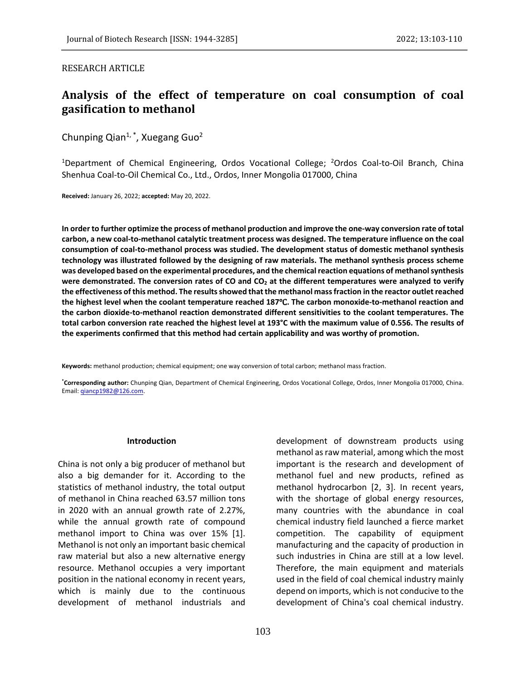## RESEARCH ARTICLE

# **Analysis of the effect of temperature on coal consumption of coal gasification to methanol**

Chunping Qian<sup>1,\*</sup>, Xuegang Guo<sup>2</sup>

<sup>1</sup>Department of Chemical Engineering, Ordos Vocational College; <sup>2</sup>Ordos Coal-to-Oil Branch, China Shenhua Coal-to-Oil Chemical Co., Ltd., Ordos, Inner Mongolia 017000, China

**Received:** January 26, 2022; **accepted:** May 20, 2022.

**In order to further optimize the process of methanol production and improve the one-way conversion rate of total carbon, a new coal-to-methanol catalytic treatment process was designed. The temperature influence on the coal consumption of coal-to-methanol process was studied. The development status of domestic methanol synthesis technology was illustrated followed by the designing of raw materials. The methanol synthesis process scheme was developed based on the experimental procedures, and the chemical reaction equations of methanol synthesis were demonstrated. The conversion rates of CO and CO<sup>2</sup> at the different temperatures were analyzed to verify the effectiveness of this method. The results showed that the methanol mass fraction in the reactor outlet reached the highest level when the coolant temperature reached 187**℃**. The carbon monoxide-to-methanol reaction and the carbon dioxide-to-methanol reaction demonstrated different sensitivities to the coolant temperatures. The total carbon conversion rate reached the highest level at 193°C with the maximum value of 0.556. The results of the experiments confirmed that this method had certain applicability and was worthy of promotion.**

**Keywords:** methanol production; chemical equipment; one way conversion of total carbon; methanol mass fraction.

**\*Corresponding author:** Chunping Qian, Department of Chemical Engineering, Ordos Vocational College, Ordos, Inner Mongolia 017000, China. Email: [qiancp1982@126.com.](mailto:qiancp1982@126.com) 

#### **Introduction**

China is not only a big producer of methanol but also a big demander for it. According to the statistics of methanol industry, the total output of methanol in China reached 63.57 million tons in 2020 with an annual growth rate of 2.27%, while the annual growth rate of compound methanol import to China was over 15% [1]. Methanol is not only an important basic chemical raw material but also a new alternative energy resource. Methanol occupies a very important position in the national economy in recent years, which is mainly due to the continuous development of methanol industrials and

development of downstream products using methanol as raw material, among which the most important is the research and development of methanol fuel and new products, refined as methanol hydrocarbon [2, 3]. In recent years, with the shortage of global energy resources, many countries with the abundance in coal chemical industry field launched a fierce market competition. The capability of equipment manufacturing and the capacity of production in such industries in China are still at a low level. Therefore, the main equipment and materials used in the field of coal chemical industry mainly depend on imports, which is not conducive to the development of China's coal chemical industry.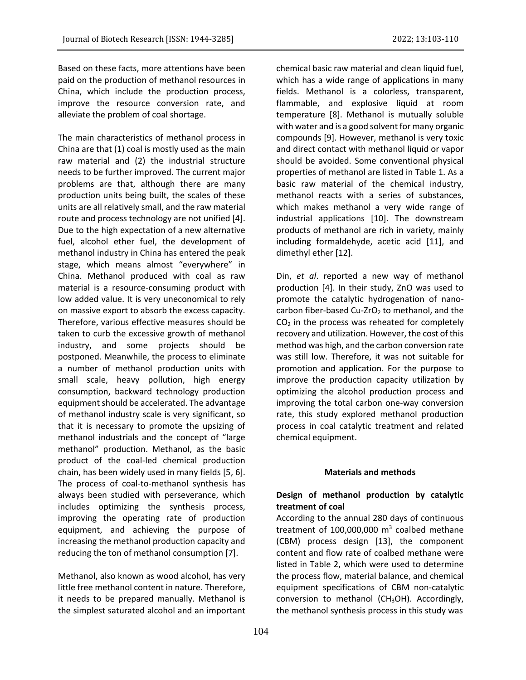Based on these facts, more attentions have been paid on the production of methanol resources in China, which include the production process, improve the resource conversion rate, and alleviate the problem of coal shortage.

The main characteristics of methanol process in China are that (1) coal is mostly used as the main raw material and (2) the industrial structure needs to be further improved. The current major problems are that, although there are many production units being built, the scales of these units are all relatively small, and the raw material route and process technology are not unified [4]. Due to the high expectation of a new alternative fuel, alcohol ether fuel, the development of methanol industry in China has entered the peak stage, which means almost "everywhere" in China. Methanol produced with coal as raw material is a resource-consuming product with low added value. It is very uneconomical to rely on massive export to absorb the excess capacity. Therefore, various effective measures should be taken to curb the excessive growth of methanol industry, and some projects should be postponed. Meanwhile, the process to eliminate a number of methanol production units with small scale, heavy pollution, high energy consumption, backward technology production equipment should be accelerated. The advantage of methanol industry scale is very significant, so that it is necessary to promote the upsizing of methanol industrials and the concept of "large methanol" production. Methanol, as the basic product of the coal-led chemical production chain, has been widely used in many fields [5, 6]. The process of coal-to-methanol synthesis has always been studied with perseverance, which includes optimizing the synthesis process, improving the operating rate of production equipment, and achieving the purpose of increasing the methanol production capacity and reducing the ton of methanol consumption [7].

Methanol, also known as wood alcohol, has very little free methanol content in nature. Therefore, it needs to be prepared manually. Methanol is the simplest saturated alcohol and an important chemical basic raw material and clean liquid fuel, which has a wide range of applications in many fields. Methanol is a colorless, transparent, flammable, and explosive liquid at room temperature [8]. Methanol is mutually soluble with water and is a good solvent for many organic compounds [9]. However, methanol is very toxic and direct contact with methanol liquid or vapor should be avoided. Some conventional physical properties of methanol are listed in Table 1. As a basic raw material of the chemical industry, methanol reacts with a series of substances, which makes methanol a very wide range of industrial applications [10]. The downstream products of methanol are rich in variety, mainly including formaldehyde, acetic acid [11], and dimethyl ether [12].

Din, *et al*. reported a new way of methanol production [4]. In their study, ZnO was used to promote the catalytic hydrogenation of nanocarbon fiber-based Cu-ZrO<sub>2</sub> to methanol, and the  $CO<sub>2</sub>$  in the process was reheated for completely recovery and utilization. However, the cost of this method was high, and the carbon conversion rate was still low. Therefore, it was not suitable for promotion and application. For the purpose to improve the production capacity utilization by optimizing the alcohol production process and improving the total carbon one-way conversion rate, this study explored methanol production process in coal catalytic treatment and related chemical equipment.

#### **Materials and methods**

## **Design of methanol production by catalytic treatment of coal**

According to the annual 280 days of continuous treatment of 100,000,000  $\textsf{m}^{3}$  coalbed methane (CBM) process design [13], the component content and flow rate of coalbed methane were listed in Table 2, which were used to determine the process flow, material balance, and chemical equipment specifications of CBM non-catalytic conversion to methanol (CH<sub>3</sub>OH). Accordingly, the methanol synthesis process in this study was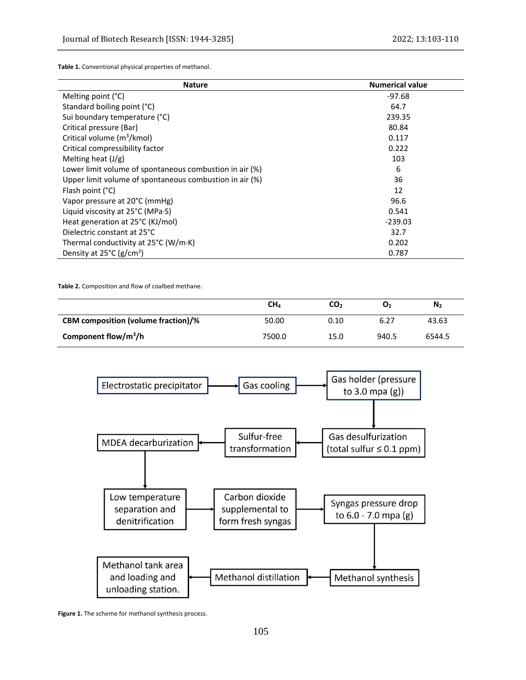**Table 1.** Conventional physical properties of methanol.

| <b>Nature</b>                                           | <b>Numerical value</b> |  |  |
|---------------------------------------------------------|------------------------|--|--|
| Melting point (°C)                                      | -97.68                 |  |  |
| Standard boiling point (°C)                             | 64.7                   |  |  |
| Sui boundary temperature (°C)                           | 239.35                 |  |  |
| Critical pressure (Bar)                                 | 80.84                  |  |  |
| Critical volume (m <sup>3</sup> /kmol)                  | 0.117                  |  |  |
| Critical compressibility factor                         | 0.222                  |  |  |
| Melting heat $(J/g)$                                    | 103                    |  |  |
| Lower limit volume of spontaneous combustion in air (%) | 6                      |  |  |
| Upper limit volume of spontaneous combustion in air (%) | 36                     |  |  |
| Flash point $(^{\circ}C)$                               | 12                     |  |  |
| Vapor pressure at 20°C (mmHg)                           | 96.6                   |  |  |
| Liquid viscosity at $25^{\circ}$ C (MPa $\cdot$ S)      | 0.541                  |  |  |
| Heat generation at 25°C (KJ/mol)                        | $-239.03$              |  |  |
| Dielectric constant at 25°C                             | 32.7                   |  |  |
| Thermal conductivity at $25^{\circ}$ C (W/m·K)          | 0.202                  |  |  |
| Density at $25^{\circ}$ C (g/cm <sup>3</sup> )          | 0.787                  |  |  |

**Table 2.** Composition and flow of coalbed methane.

|                                            | CH4    | CO <sub>2</sub> | о,    | N <sub>2</sub> |
|--------------------------------------------|--------|-----------------|-------|----------------|
| <b>CBM</b> composition (volume fraction)/% | 50.00  | 0.10            | 6.27  | 43.63          |
| Component flow/m <sup>3</sup> /h           | 7500.0 | 15.0            | 940.5 | 6544.5         |



**Figure 1.** The scheme for methanol synthesis process.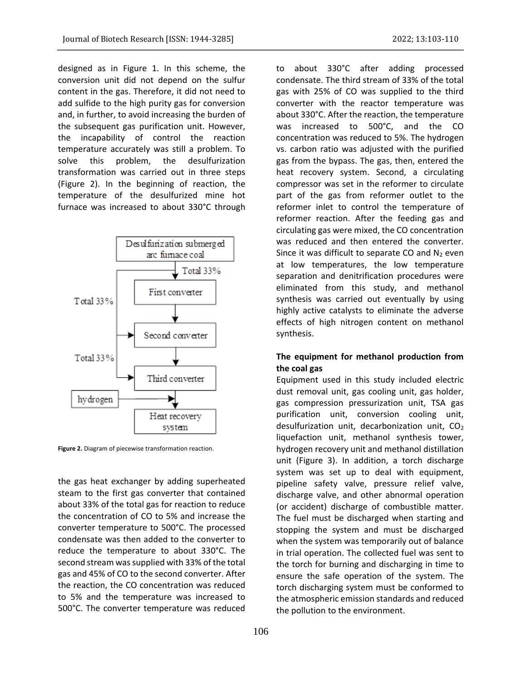designed as in Figure 1. In this scheme, the conversion unit did not depend on the sulfur content in the gas. Therefore, it did not need to add sulfide to the high purity gas for conversion and, in further, to avoid increasing the burden of the subsequent gas purification unit. However, the incapability of control the reaction temperature accurately was still a problem. To solve this problem, the desulfurization transformation was carried out in three steps (Figure 2). In the beginning of reaction, the temperature of the desulfurized mine hot furnace was increased to about 330°C through



**Figure 2.** Diagram of piecewise transformation reaction.

the gas heat exchanger by adding superheated steam to the first gas converter that contained about 33% of the total gas for reaction to reduce the concentration of CO to 5% and increase the converter temperature to 500°C. The processed condensate was then added to the converter to reduce the temperature to about 330°C. The second stream was supplied with 33% of the total gas and 45% of CO to the second converter. After the reaction, the CO concentration was reduced to 5% and the temperature was increased to 500°C. The converter temperature was reduced

to about 330°C after adding processed condensate. The third stream of 33% of the total gas with 25% of CO was supplied to the third converter with the reactor temperature was about 330°C. After the reaction, the temperature was increased to 500°C, and the CO concentration was reduced to 5%. The hydrogen vs. carbon ratio was adjusted with the purified gas from the bypass. The gas, then, entered the heat recovery system. Second, a circulating compressor was set in the reformer to circulate part of the gas from reformer outlet to the reformer inlet to control the temperature of reformer reaction. After the feeding gas and circulating gas were mixed, the CO concentration was reduced and then entered the converter. Since it was difficult to separate CO and  $N_2$  even at low temperatures, the low temperature separation and denitrification procedures were eliminated from this study, and methanol synthesis was carried out eventually by using highly active catalysts to eliminate the adverse effects of high nitrogen content on methanol synthesis.

# **The equipment for methanol production from the coal gas**

Equipment used in this study included electric dust removal unit, gas cooling unit, gas holder, gas compression pressurization unit, TSA gas purification unit, conversion cooling unit, desulfurization unit, decarbonization unit,  $CO<sub>2</sub>$ liquefaction unit, methanol synthesis tower, hydrogen recovery unit and methanol distillation unit (Figure 3). In addition, a torch discharge system was set up to deal with equipment, pipeline safety valve, pressure relief valve, discharge valve, and other abnormal operation (or accident) discharge of combustible matter. The fuel must be discharged when starting and stopping the system and must be discharged when the system was temporarily out of balance in trial operation. The collected fuel was sent to the torch for burning and discharging in time to ensure the safe operation of the system. The torch discharging system must be conformed to the atmospheric emission standards and reduced the pollution to the environment.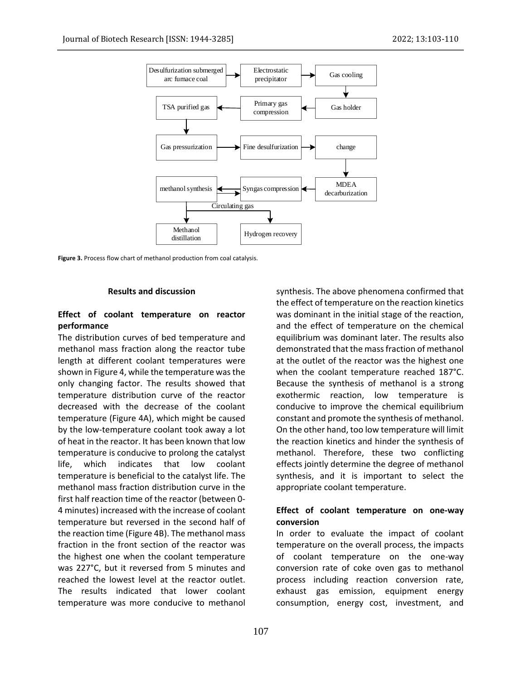

**Figure 3.** Process flow chart of methanol production from coal catalysis.

## **Results and discussion**

## **Effect of coolant temperature on reactor performance**

The distribution curves of bed temperature and methanol mass fraction along the reactor tube length at different coolant temperatures were shown in Figure 4, while the temperature was the only changing factor. The results showed that temperature distribution curve of the reactor decreased with the decrease of the coolant temperature (Figure 4A), which might be caused by the low-temperature coolant took away a lot of heat in the reactor. It has been known that low temperature is conducive to prolong the catalyst life, which indicates that low coolant temperature is beneficial to the catalyst life. The methanol mass fraction distribution curve in the first half reaction time of the reactor (between 0- 4 minutes) increased with the increase of coolant temperature but reversed in the second half of the reaction time (Figure 4B). The methanol mass fraction in the front section of the reactor was the highest one when the coolant temperature was 227°C, but it reversed from 5 minutes and reached the lowest level at the reactor outlet. The results indicated that lower coolant temperature was more conducive to methanol

synthesis. The above phenomena confirmed that the effect of temperature on the reaction kinetics was dominant in the initial stage of the reaction, and the effect of temperature on the chemical equilibrium was dominant later. The results also demonstrated that the mass fraction of methanol at the outlet of the reactor was the highest one when the coolant temperature reached 187°C. Because the synthesis of methanol is a strong exothermic reaction, low temperature is conducive to improve the chemical equilibrium constant and promote the synthesis of methanol. On the other hand, too low temperature will limit the reaction kinetics and hinder the synthesis of methanol. Therefore, these two conflicting effects jointly determine the degree of methanol synthesis, and it is important to select the appropriate coolant temperature.

## **Effect of coolant temperature on one-way conversion**

In order to evaluate the impact of coolant temperature on the overall process, the impacts of coolant temperature on the one-way conversion rate of coke oven gas to methanol process including reaction conversion rate, exhaust gas emission, equipment energy consumption, energy cost, investment, and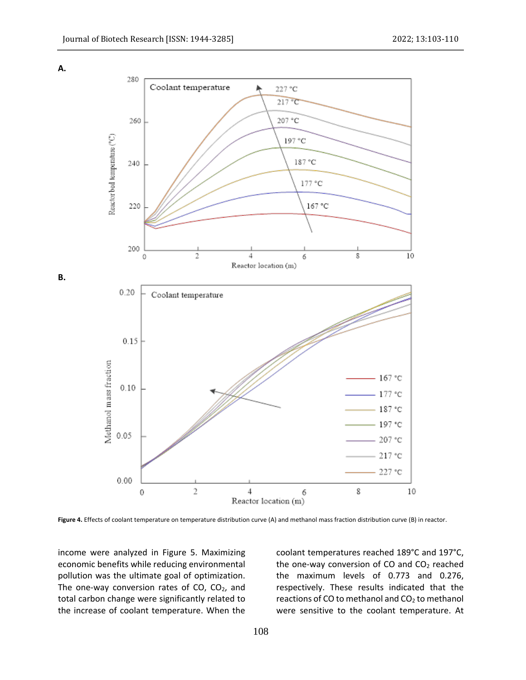

**Figure 4.** Effects of coolant temperature on temperature distribution curve (A) and methanol mass fraction distribution curve (B) in reactor.

income were analyzed in Figure 5. Maximizing economic benefits while reducing environmental pollution was the ultimate goal of optimization. The one-way conversion rates of  $CO$ ,  $CO<sub>2</sub>$ , and total carbon change were significantly related to the increase of coolant temperature. When the

coolant temperatures reached 189°C and 197°C, the one-way conversion of CO and  $CO<sub>2</sub>$  reached the maximum levels of 0.773 and 0.276, respectively. These results indicated that the reactions of CO to methanol and  $CO<sub>2</sub>$  to methanol were sensitive to the coolant temperature. At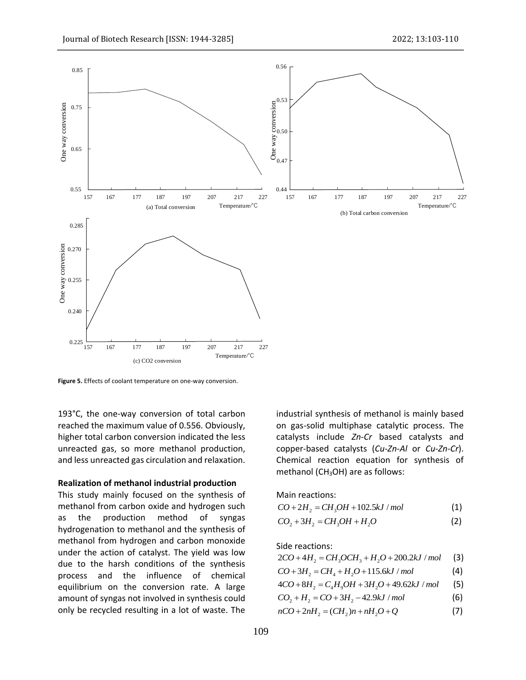

**Figure 5.** Effects of coolant temperature on one-way conversion.

193°C, the one-way conversion of total carbon reached the maximum value of 0.556. Obviously, higher total carbon conversion indicated the less unreacted gas, so more methanol production, and less unreacted gas circulation and relaxation.

#### **Realization of methanol industrial production**

This study mainly focused on the synthesis of methanol from carbon oxide and hydrogen such as the production method of syngas hydrogenation to methanol and the synthesis of methanol from hydrogen and carbon monoxide under the action of catalyst. The yield was low due to the harsh conditions of the synthesis process and the influence of chemical equilibrium on the conversion rate. A large amount of syngas not involved in synthesis could only be recycled resulting in a lot of waste. The

industrial synthesis of methanol is mainly based on gas-solid multiphase catalytic process. The catalysts include *Zn*-*Cr* based catalysts and copper-based catalysts (*Cu*-*Zn*-*Al* or *Cu*-*Zn*-*Cr*). Chemical reaction equation for synthesis of methanol (CH<sub>3</sub>OH) are as follows:

Main reactions:

 $CO + 2H_2 = CH_3OH + 102.5 kJ/mol$  (1)

$$
CO_2 + 3H_2 = CH_3OH + H_2O
$$
 (2)

Side reactions:

Side reactions:  
 
$$
2CO + 4H_2 = CH_3OCH_3 + H_2O + 200.2kJ/mol
$$
 (3)

$$
2CO + 4H_2 = CH_3OCH_3 + H_2O + 200.2kJ / mol
$$
 (3)  

$$
CO + 3H_2 = CH_4 + H_2O + 115.6kJ / mol
$$
 (4)

$$
CO + 3H_2 = CH_4 + H_2O + 115.6kJ/mol
$$
 (4)  
 
$$
4CO + 8H_2 = C_4H_9OH + 3H_2O + 49.62kJ/mol
$$
 (5)

$$
CO_2 + H_2 = CO + 3H_2 - 42.9kJ/mol
$$
 (3)  
(6)

$$
nCO + 2nH_2 = (CH_2)n + nH_2O + Q
$$
 (7)